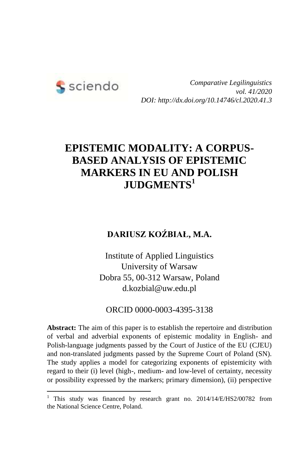

1

*Comparative Legilinguistics vol. 41/2020 DOI: http://dx.doi.org/10.14746/cl.2020.41.3*

# **EPISTEMIC MODALITY: A CORPUS-BASED ANALYSIS OF EPISTEMIC MARKERS IN EU AND POLISH JUDGMENTS<sup>1</sup>**

### **DARIUSZ KOŹBIAŁ, M.A.**

Institute of Applied Linguistics University of Warsaw Dobra 55, 00-312 Warsaw, Poland d.kozbial@uw.edu.pl

ORCID 0000-0003-4395-3138

**Abstract:** The aim of this paper is to establish the repertoire and distribution of verbal and adverbial exponents of epistemic modality in English- and Polish-language judgments passed by the Court of Justice of the EU (CJEU) and non-translated judgments passed by the Supreme Court of Poland (SN). The study applies a model for categorizing exponents of epistemicity with regard to their (i) level (high-, medium- and low-level of certainty, necessity or possibility expressed by the markers; primary dimension), (ii) perspective

<sup>&</sup>lt;sup>1</sup> This study was financed by research grant no.  $2014/14$ /E/HS2/00782 from the National Science Centre, Poland.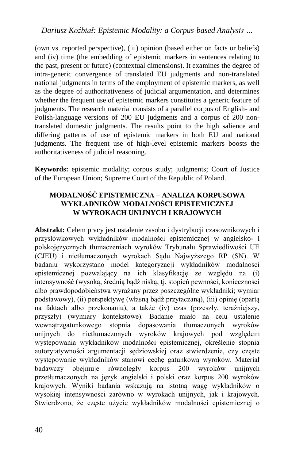(own vs. reported perspective), (iii) opinion (based either on facts or beliefs) and (iv) time (the embedding of epistemic markers in sentences relating to the past, present or future) (contextual dimensions). It examines the degree of intra-generic convergence of translated EU judgments and non-translated national judgments in terms of the employment of epistemic markers, as well as the degree of authoritativeness of judicial argumentation, and determines whether the frequent use of epistemic markers constitutes a generic feature of judgments. The research material consists of a parallel corpus of English- and Polish-language versions of 200 EU judgments and a corpus of 200 nontranslated domestic judgments. The results point to the high salience and differing patterns of use of epistemic markers in both EU and national judgments. The frequent use of high-level epistemic markers boosts the authoritativeness of judicial reasoning.

**Keywords:** epistemic modality; corpus study; judgments; Court of Justice of the European Union; Supreme Court of the Republic of Poland.

#### **MODALNOŚĆ EPISTEMICZNA – ANALIZA KORPUSOWA WYKŁADNIKÓW MODALNOŚCI EPISTEMICZNEJ W WYROKACH UNIJNYCH I KRAJOWYCH**

**Abstrakt:** Celem pracy jest ustalenie zasobu i dystrybucji czasownikowych i przysłówkowych wykładników modalności epistemicznej w angielsko- i polskojęzycznych tłumaczeniach wyroków Trybunału Sprawiedliwości UE (CJEU) i nietłumaczonych wyrokach Sądu Najwyższego RP (SN). W badaniu wykorzystano model kategoryzacji wykładników modalności epistemicznej pozwalający na ich klasyfikację ze względu na (i) intensywność (wysoką, średnią bądź niską, tj. stopień pewności, konieczności albo prawdopodobieństwa wyrażany przez poszczególne wykładniki; wymiar podstawowy), (ii) perspektywę (własną bądź przytaczaną), (iii) opinię (opartą na faktach albo przekonaniu), a także (iv) czas (przeszły, teraźniejszy, przyszły) (wymiary kontekstowe). Badanie miało na celu ustalenie wewnątrzgatunkowego stopnia dopasowania tłumaczonych wyroków unijnych do nietłumaczonych wyroków krajowych pod względem występowania wykładników modalności epistemicznej, określenie stopnia autorytatywności argumentacji sędziowskiej oraz stwierdzenie, czy częste występowanie wykładników stanowi cechę gatunkową wyroków. Materiał badawczy obejmuje równoległy korpus 200 wyroków unijnych przetłumaczonych na język angielski i polski oraz korpus 200 wyroków krajowych. Wyniki badania wskazują na istotną wagę wykładników o wysokiej intensywności zarówno w wyrokach unijnych, jak i krajowych. Stwierdzono, że częste użycie wykładników modalności epistemicznej o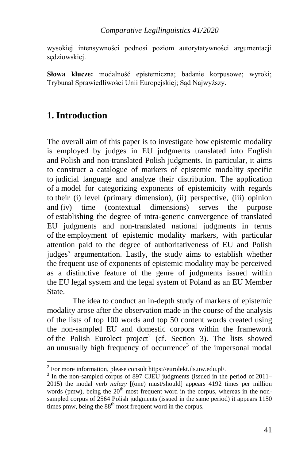#### *Comparative Legilinguistics 41/2020*

wysokiej intensywności podnosi poziom autorytatywności argumentacji sędziowskiej.

**Słowa klucze:** modalność epistemiczna; badanie korpusowe; wyroki; Trybunał Sprawiedliwości Unii Europejskiej; Sąd Najwyższy.

## **1. Introduction**

-

The overall aim of this paper is to investigate how epistemic modality is employed by judges in EU judgments translated into English and Polish and non-translated Polish judgments. In particular, it aims to construct a catalogue of markers of epistemic modality specific to judicial language and analyze their distribution. The application of a model for categorizing exponents of epistemicity with regards to their (i) level (primary dimension), (ii) perspective, (iii) opinion and (iv) time (contextual dimensions) serves the purpose of establishing the degree of intra-generic convergence of translated EU judgments and non-translated national judgments in terms of the employment of epistemic modality markers, with particular attention paid to the degree of authoritativeness of EU and Polish judges' argumentation. Lastly, the study aims to establish whether the frequent use of exponents of epistemic modality may be perceived as a distinctive feature of the genre of judgments issued within the EU legal system and the legal system of Poland as an EU Member State.

The idea to conduct an in-depth study of markers of epistemic modality arose after the observation made in the course of the analysis of the lists of top 100 words and top 50 content words created using the non-sampled EU and domestic corpora within the framework of the Polish Eurolect project<sup>2</sup> (cf. Section 3). The lists showed an unusually high frequency of occurrence<sup>3</sup> of the impersonal modal

<sup>&</sup>lt;sup>2</sup> For more information, please consult https://eurolekt.ils.uw.edu.pl/.

<sup>&</sup>lt;sup>3</sup> In the non-sampled corpus of 897 CJEU judgments (issued in the period of 2011– 2015) the modal verb *należy* [(one) must/should] appears 4192 times per million words (pmw), being the  $20<sup>th</sup>$  most frequent word in the corpus, whereas in the nonsampled corpus of 2564 Polish judgments (issued in the same period) it appears 1150 times pmw, being the  $88<sup>th</sup>$  most frequent word in the corpus.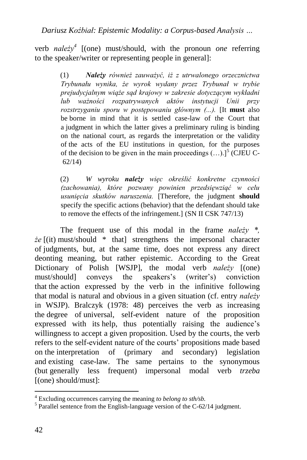verb *należy<sup>4</sup>* [(one) must/should, with the pronoun *one* referring to the speaker/writer or representing people in general]:

> (1) *Należy również zauważyć, iż z utrwalonego orzecznictwa Trybunału wynika, że wyrok wydany przez Trybunał w trybie prejudycjalnym wiąże sąd krajowy w zakresie dotyczącym wykładni lub ważności rozpatrywanych aktów instytucji Unii przy rozstrzyganiu sporu w postępowaniu głównym (...).* [It **must** also be borne in mind that it is settled case-law of the Court that a judgment in which the latter gives a preliminary ruling is binding on the national court, as regards the interpretation or the validity of the acts of the EU institutions in question, for the purposes of the decision to be given in the main proceedings  $(...)$ <sup>5</sup> (CJEU C-62/14)

> (2) *W wyroku należy więc określić konkretne czynności (zachowania), które pozwany powinien przedsięwziąć w celu usunięcia skutków naruszenia.* [Therefore, the judgment **should** specify the specific actions (behavior) that the defendant should take to remove the effects of the infringement.] (SN II CSK 747/13)

The frequent use of this modal in the frame *należy \*, że* [(it) must/should \* that] strengthens the impersonal character of judgments, but, at the same time, does not express any direct deonting meaning, but rather epistemic. According to the Great Dictionary of Polish [WSJP], the modal verb *należy* [(one) must/should] conveys the speakers's (writer's) conviction that the action expressed by the verb in the infinitive following that modal is natural and obvious in a given situation (cf. entry *należy* in WSJP). Bralczyk (1978: 48) perceives the verb as increasing the degree of universal, self-evident nature of the proposition expressed with its help, thus potentially raising the audience's willingness to accept a given proposition. Used by the courts, the verb refers to the self-evident nature of the courts' propositions made based on the interpretation of (primary and secondary) legislation and existing case-law. The same pertains to the synonymous (but generally less frequent) impersonal modal verb *trzeba*  [(one) should/must]:

l

<sup>4</sup> Excluding occurrences carrying the meaning *to belong to sth/sb.*

<sup>&</sup>lt;sup>5</sup> Parallel sentence from the English-language version of the C-62/14 judgment.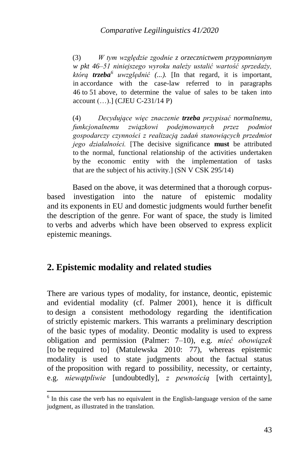(3) *W tym względzie zgodnie z orzecznictwem przypomnianym w pkt 46–51 niniejszego wyroku należy ustalić wartość sprzedaży, którą trzeba<sup>6</sup> uwzględnić (...).* [In that regard, it is important, in accordance with the case-law referred to in paragraphs 46 to 51 above, to determine the value of sales to be taken into account (…).] (CJEU C-231/14 P)

(4) *Decydujące więc znaczenie trzeba przypisać normalnemu, funkcjonalnemu związkowi podejmowanych przez podmiot gospodarczy czynności z realizacją zadań stanowiących przedmiot jego działalności.* [The decisive significance **must** be attributed to the normal, functional relationship of the activities undertaken by the economic entity with the implementation of tasks that are the subject of his activity.] (SN V CSK 295/14)

Based on the above, it was determined that a thorough corpusbased investigation into the nature of epistemic modality and its exponents in EU and domestic judgments would further benefit the description of the genre. For want of space, the study is limited to verbs and adverbs which have been observed to express explicit epistemic meanings.

### **2. Epistemic modality and related studies**

1

There are various types of modality, for instance, deontic, epistemic and evidential modality (cf. Palmer 2001), hence it is difficult to design a consistent methodology regarding the identification of strictly epistemic markers. This warrants a preliminary description of the basic types of modality. Deontic modality is used to express obligation and permission (Palmer: 7–10), e.g. *mieć obowiązek*  [to be required to] (Matulewska 2010: 77), whereas epistemic modality is used to state judgments about the factual status of the proposition with regard to possibility, necessity, or certainty, e.g. *niewątpliwie* [undoubtedly], *z pewnością* [with certainty],

 $6$  In this case the verb has no equivalent in the English-language version of the same judgment, as illustrated in the translation.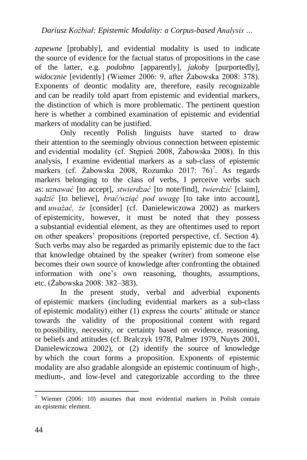*zapewne* [probably], and evidential modality is used to indicate the source of evidence for the factual status of propositions in the case of the latter, e.g. *podobno* [apparently], *jakoby* [purportedly], *widocznie* [evidently] (Wiemer 2006: 9, after Żabowska 2008: 378). Exponents of deontic modality are, therefore, easily recognizable and can be readily told apart from epistemic and evidential markers, the distinction of which is more problematic. The pertinent question here is whether a combined examination of epistemic and evidential markers of modality can be justified.

Only recently Polish linguists have started to draw their attention to the seemingly obvious connection between epistemic and evidential modality (cf. Stępień 2008, Żabowska 2008). In this analysis, I examine evidential markers as a sub-class of epistemic markers (cf. Żabowska 2008, Rozumko 2017: 76)<sup>7</sup>. As regards markers belonging to the class of verbs, I perceive verbs such as: *uznawać* [to accept], *stwierdzać* [to note/find], *twierdzić* [claim], *sądzić* [to believe], *brać/wziąć pod uwagę* [to take into account], and *uważać, że* [consider] (cf. Danielewiczowa 2002) as markers of epistemicity, however, it must be noted that they possess a substantial evidential element, as they are oftentimes used to report on other speakers' propositions (reported perspective, cf. Section 4). Such verbs may also be regarded as primarily epistemic due to the fact that knowledge obtained by the speaker (writer) from someone else becomes their own source of knowledge after confronting the obtained information with one's own reasoning, thoughts, assumptions, etc. (Żabowska 2008: 382–383).

In the present study, verbal and adverbial exponents of epistemic markers (including evidential markers as a sub-class of epistemic modality) either (1) express the courts' attitude or stance towards the validity of the propositional content with regard to possibility, necessity, or certainty based on evidence, reasoning, or beliefs and attitudes (cf. Bralczyk 1978, Palmer 1979, Nuyts 2001, Danielewiczowa 2002), or (2) identify the source of knowledge by which the court forms a proposition. Exponents of epistemic modality are also gradable alongside an epistemic continuum of high-, medium-, and low-level and categorizable according to the three

l

<sup>&</sup>lt;sup>7</sup> Wiemer (2006: 10) assumes that most evidential markers in Polish contain an epistemic element.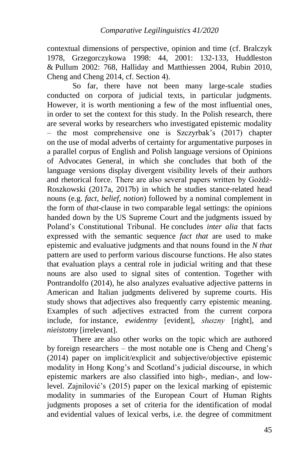contextual dimensions of perspective, opinion and time (cf. Bralczyk 1978, Grzegorczykowa 1998: 44, 2001: 132-133, Huddleston & Pullum 2002: 768, Halliday and Matthiessen 2004, Rubin 2010, Cheng and Cheng 2014, cf. Section 4).

So far, there have not been many large-scale studies conducted on corpora of judicial texts, in particular judgments. However, it is worth mentioning a few of the most influential ones, in order to set the context for this study. In the Polish research, there are several works by researchers who investigated epistemic modality – the most comprehensive one is Szczyrbak's (2017) chapter on the use of modal adverbs of certainty for argumentative purposes in a parallel corpus of English and Polish language versions of Opinions of Advocates General, in which she concludes that both of the language versions display divergent visibility levels of their authors and rhetorical force. There are also several papers written by Goźdź-Roszkowski (2017a, 2017b) in which he studies stance-related head nouns (e.g. *fact*, *belief*, *notion*) followed by a nominal complement in the form of *that*-clause in two comparable legal settings: the opinions handed down by the US Supreme Court and the judgments issued by Poland's Constitutional Tribunal. He concludes *inter alia* that facts expressed with the semantic sequence *fact that* are used to make epistemic and evaluative judgments and that nouns found in the *N that*  pattern are used to perform various discourse functions. He also states that evaluation plays a central role in judicial writing and that these nouns are also used to signal sites of contention. Together with Pontrandolfo (2014), he also analyzes evaluative adjective patterns in American and Italian judgments delivered by supreme courts. His study shows that adjectives also frequently carry epistemic meaning. Examples of such adjectives extracted from the current corpora include, for instance, *ewidentny* [evident], *słuszny* [right], and *nieistotny* [irrelevant].

There are also other works on the topic which are authored by foreign researchers – the most notable one is Cheng and Cheng's (2014) paper on implicit/explicit and subjective/objective epistemic modality in Hong Kong's and Scotland's judicial discourse, in which epistemic markers are also classified into high-, median-, and lowlevel. Zajnilović's (2015) paper on the lexical marking of epistemic modality in summaries of the European Court of Human Rights judgments proposes a set of criteria for the identification of modal and evidential values of lexical verbs, i.e. the degree of commitment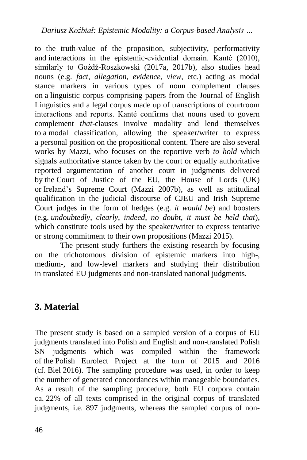to the truth-value of the proposition, subjectivity, performativity and interactions in the epistemic-evidential domain. Kanté (2010), similarly to Goźdź-Roszkowski (2017a, 2017b), also studies head nouns (e.g. *fact*, *allegation*, *evidence*, *view*, etc.) acting as modal stance markers in various types of noun complement clauses on a linguistic corpus comprising papers from the Journal of English Linguistics and a legal corpus made up of transcriptions of courtroom interactions and reports. Kanté confirms that nouns used to govern complement *that*-clauses involve modality and lend themselves to a modal classification, allowing the speaker/writer to express a personal position on the propositional content. There are also several works by Mazzi, who focuses on the reportive verb *to hold* which signals authoritative stance taken by the court or equally authoritative reported argumentation of another court in judgments delivered by the Court of Justice of the EU, the House of Lords (UK) or Ireland's Supreme Court (Mazzi 2007b), as well as attitudinal qualification in the judicial discourse of CJEU and Irish Supreme Court judges in the form of hedges (e.g. *it would be*) and boosters (e.g. *undoubtedly*, *clearly*, *indeed*, *no doubt*, *it must be held that*), which constitute tools used by the speaker/writer to express tentative or strong commitment to their own propositions (Mazzi 2015).

The present study furthers the existing research by focusing on the trichotomous division of epistemic markers into high-, medium-, and low-level markers and studying their distribution in translated EU judgments and non-translated national judgments.

## **3. Material**

The present study is based on a sampled version of a corpus of EU judgments translated into Polish and English and non-translated Polish SN judgments which was compiled within the framework of the Polish Eurolect Project at the turn of 2015 and 2016 (cf. Biel 2016). The sampling procedure was used, in order to keep the number of generated concordances within manageable boundaries. As a result of the sampling procedure, both EU corpora contain ca. 22% of all texts comprised in the original corpus of translated judgments, i.e. 897 judgments, whereas the sampled corpus of non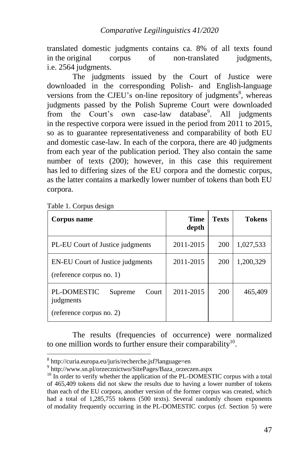translated domestic judgments contains ca. 8% of all texts found in the original corpus of non-translated judgments, i.e. 2564 judgments.

The judgments issued by the Court of Justice were downloaded in the corresponding Polish- and English-language versions from the CJEU's on-line repository of judgments<sup>8</sup>, whereas judgments passed by the Polish Supreme Court were downloaded from the Court's own case-law database<sup>9</sup>. All judgments in the respective corpora were issued in the period from 2011 to 2015, so as to guarantee representativeness and comparability of both EU and domestic case-law. In each of the corpora, there are 40 judgments from each year of the publication period. They also contain the same number of texts (200); however, in this case this requirement has led to differing sizes of the EU corpora and the domestic corpus, as the latter contains a markedly lower number of tokens than both EU corpora.

Table 1. Corpus design

1

| Corpus name                                                              | Time<br>depth | <b>Texts</b> | <b>Tokens</b> |
|--------------------------------------------------------------------------|---------------|--------------|---------------|
| PL-EU Court of Justice judgments                                         | 2011-2015     | 200          | 1,027,533     |
| EN-EU Court of Justice judgments<br>(reference corpus no. 1)             | 2011-2015     | 200          | 1,200,329     |
| PL-DOMESTIC<br>Supreme<br>Court<br>judgments<br>(reference corpus no. 2) | 2011-2015     | 200          | 465,409       |

The results (frequencies of occurrence) were normalized to one million words to further ensure their comparability $10$ .

<sup>8</sup> http://curia.europa.eu/juris/recherche.jsf?language=en

<sup>9</sup> http://www.sn.pl/orzecznictwo/SitePages/Baza\_orzeczen.aspx

 $10$  In order to verify whether the application of the PL-DOMESTIC corpus with a total of 465,409 tokens did not skew the results due to having a lower number of tokens than each of the EU corpora, another version of the former corpus was created, which had a total of 1,285,755 tokens (500 texts). Several randomly chosen exponents of modality frequently occurring in the PL-DOMESTIC corpus (cf. Section 5) were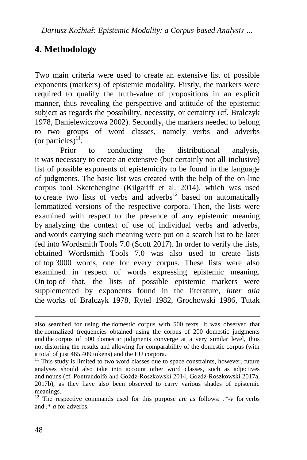## **4. Methodology**

Two main criteria were used to create an extensive list of possible exponents (markers) of epistemic modality. Firstly, the markers were required to qualify the truth-value of propositions in an explicit manner, thus revealing the perspective and attitude of the epistemic subject as regards the possibility, necessity, or certainty (cf. Bralczyk 1978, Danielewiczowa 2002). Secondly, the markers needed to belong to two groups of word classes, namely verbs and adverbs (or particles) $^{11}$ .

Prior to conducting the distributional analysis, it was necessary to create an extensive (but certainly not all-inclusive) list of possible exponents of epistemicity to be found in the language of judgments. The basic list was created with the help of the on-line corpus tool Sketchengine (Kilgariff et al. 2014), which was used to create two lists of verbs and adverbs<sup>12</sup> based on automatically lemmatized versions of the respective corpora. Then, the lists were examined with respect to the presence of any epistemic meaning by analyzing the context of use of individual verbs and adverbs, and words carrying such meaning were put on a search list to be later fed into Wordsmith Tools 7.0 (Scott 2017). In order to verify the lists, obtained Wordsmith Tools 7.0 was also used to create lists of top 3000 words, one for every corpus. These lists were also examined in respect of words expressing epistemic meaning. On top of that, the lists of possible epistemic markers were supplemented by exponents found in the literature, *inter alia* the works of Bralczyk 1978, Rytel 1982, Grochowski 1986, Tutak

<u>.</u>

also searched for using the domestic corpus with 500 texts. It was observed that the normalized frequencies obtained using the corpus of 200 domestic judgments and the corpus of 500 domestic judgments converge at a very similar level, thus not distorting the results and allowing for comparability of the domestic corpus (with a total of just 465,409 tokens) and the EU corpora.

 $11$  This study is limited to two word classes due to space constraints, however, future analyses should also take into account other word classes, such as adjectives and nouns (cf. Pontrandolfo and Goźdź-Roszkowski 2014, Goźdź-Roszkowski 2017a, 2017b), as they have also been observed to carry various shades of epistemic meanings.

<sup>&</sup>lt;sup>12</sup> The respective commands used for this purpose are as follows:  $.*\rightarrow$  for verbs and  $*$ -*a* for adverbs.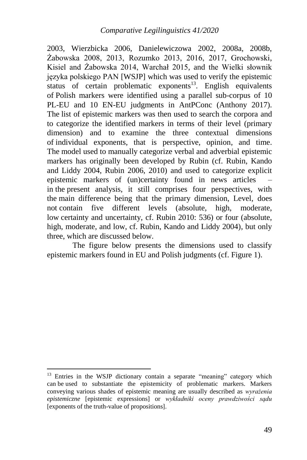2003, Wierzbicka 2006, Danielewiczowa 2002, 2008a, 2008b, Żabowska 2008, 2013, Rozumko 2013, 2016, 2017, Grochowski, Kisiel and Żabowska 2014, Warchał 2015, and the Wielki słownik języka polskiego PAN [WSJP] which was used to verify the epistemic status of certain problematic exponents<sup>13</sup>. English equivalents of Polish markers were identified using a parallel sub-corpus of 10 PL-EU and 10 EN-EU judgments in AntPConc (Anthony 2017). The list of epistemic markers was then used to search the corpora and to categorize the identified markers in terms of their level (primary dimension) and to examine the three contextual dimensions of individual exponents, that is perspective, opinion, and time. The model used to manually categorize verbal and adverbial epistemic markers has originally been developed by Rubin (cf. Rubin, Kando and Liddy 2004, Rubin 2006, 2010) and used to categorize explicit epistemic markers of (un)certainty found in news articles – in the present analysis, it still comprises four perspectives, with the main difference being that the primary dimension, Level, does not contain five different levels (absolute, high, moderate, low certainty and uncertainty, cf. Rubin 2010: 536) or four (absolute, high, moderate, and low, cf. Rubin, Kando and Liddy 2004), but only three, which are discussed below.

The figure below presents the dimensions used to classify epistemic markers found in EU and Polish judgments (cf. Figure 1).

1

 $13$  Entries in the WSJP dictionary contain a separate "meaning" category which can be used to substantiate the epistemicity of problematic markers. Markers conveying various shades of epistemic meaning are usually described as *wyrażenia epistemiczne* [epistemic expressions] or *wykładniki oceny prawdziwości sądu*  [exponents of the truth-value of propositions].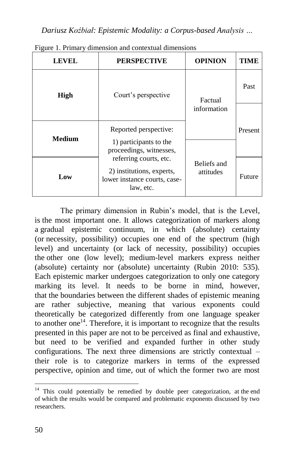*Dariusz Koźbiał: Epistemic Modality: a Corpus-based Analysis …*

| <b>LEVEL</b>  | <b>PERSPECTIVE</b>                                                                               | <b>OPINION</b>           | TIME    |
|---------------|--------------------------------------------------------------------------------------------------|--------------------------|---------|
| <b>High</b>   | Court's perspective                                                                              | Factual                  | Past    |
|               |                                                                                                  | information              |         |
| <b>Medium</b> | Reported perspective:                                                                            |                          | Present |
|               | 1) participants to the<br>proceedings, witnesses,                                                |                          |         |
| Low           | referring courts, etc.<br>2) institutions, experts,<br>lower instance courts, case-<br>law, etc. | Beliefs and<br>attitudes | Future  |

Figure 1. Primary dimension and contextual dimensions

The primary dimension in Rubin's model, that is the Level, is the most important one. It allows categorization of markers along a gradual epistemic continuum, in which (absolute) certainty (or necessity, possibility) occupies one end of the spectrum (high level) and uncertainty (or lack of necessity, possibility) occupies the other one (low level); medium-level markers express neither (absolute) certainty nor (absolute) uncertainty (Rubin 2010: 535). Each epistemic marker undergoes categorization to only one category marking its level. It needs to be borne in mind, however, that the boundaries between the different shades of epistemic meaning are rather subjective, meaning that various exponents could theoretically be categorized differently from one language speaker to another one $14$ . Therefore, it is important to recognize that the results presented in this paper are not to be perceived as final and exhaustive, but need to be verified and expanded further in other study configurations. The next three dimensions are strictly contextual – their role is to categorize markers in terms of the expressed perspective, opinion and time, out of which the former two are most

 $\overline{a}$  $14$  This could potentially be remedied by double peer categorization, at the end of which the results would be compared and problematic exponents discussed by two researchers.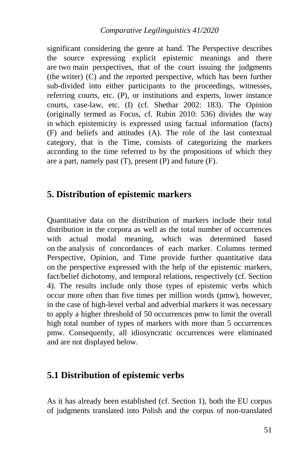significant considering the genre at hand. The Perspective describes the source expressing explicit epistemic meanings and there are two main perspectives, that of the court issuing the judgments (the writer) (C) and the reported perspective, which has been further sub-divided into either participants to the proceedings, witnesses, referring courts, etc. (P), or institutions and experts, lower instance courts, case-law, etc. (I) (cf. Shethar 2002: 183). The Opinion (originally termed as Focus, cf. Rubin 2010: 536) divides the way in which epistemicity is expressed using factual information (facts) (F) and beliefs and attitudes (A). The role of the last contextual category, that is the Time, consists of categorizing the markers according to the time referred to by the propositions of which they are a part, namely past  $(T)$ , present  $(P)$  and future  $(F)$ .

### **5. Distribution of epistemic markers**

Quantitative data on the distribution of markers include their total distribution in the corpora as well as the total number of occurrences with actual modal meaning, which was determined based on the analysis of concordances of each marker. Columns termed Perspective, Opinion, and Time provide further quantitative data on the perspective expressed with the help of the epistemic markers, fact/belief dichotomy, and temporal relations, respectively (cf. Section 4). The results include only those types of epistemic verbs which occur more often than five times per million words (pmw), however, in the case of high-level verbal and adverbial markers it was necessary to apply a higher threshold of 50 occurrences pmw to limit the overall high total number of types of markers with more than 5 occurrences pmw. Consequently, all idiosyncratic occurrences were eliminated and are not displayed below.

### **5.1 Distribution of epistemic verbs**

As it has already been established (cf. Section 1), both the EU corpus of judgments translated into Polish and the corpus of non-translated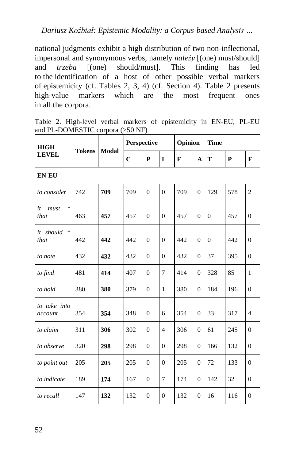national judgments exhibit a high distribution of two non-inflectional, impersonal and synonymous verbs, namely *należy* [(one) must/should] and *trzeba* [(one) should/must]. This finding has led to the identification of a host of other possible verbal markers of epistemicity (cf. Tables 2, 3, 4) (cf. Section 4). Table 2 presents high-value markers which are the most frequent ones in all the corpora.

Table 2. High-level verbal markers of epistemicity in EN-EU, PL-EU and PL-DOMESTIC corpora (>50 NF)

| <b>HIGH</b>                  |               |       | Perspective |                |                | Opinion      |              | <b>Time</b>  |              |                |
|------------------------------|---------------|-------|-------------|----------------|----------------|--------------|--------------|--------------|--------------|----------------|
| <b>LEVEL</b>                 | <b>Tokens</b> | Modal | $\mathbf C$ | ${\bf P}$      | $\mathbf I$    | $\mathbf{F}$ | $\mathbf{A}$ | T            | $\mathbf{P}$ | $\mathbf{F}$   |
| <b>EN-EU</b>                 |               |       |             |                |                |              |              |              |              |                |
| to consider                  | 742           | 709   | 709         | $\Omega$       | $\Omega$       | 709          | $\Omega$     | 129          | 578          | $\overline{c}$ |
| $\ast$<br>it<br>must<br>that | 463           | 457   | 457         | $\overline{0}$ | $\overline{0}$ | 457          | $\mathbf{0}$ | $\mathbf{0}$ | 457          | $\overline{0}$ |
| *<br>it should<br>that       | 442           | 442   | 442         | $\overline{0}$ | $\theta$       | 442          | $\mathbf{0}$ | $\mathbf{0}$ | 442          | $\overline{0}$ |
| to note                      | 432           | 432   | 432         | $\theta$       | $\Omega$       | 432          | $\Omega$     | 37           | 395          | $\theta$       |
| to find                      | 481           | 414   | 407         | $\theta$       | $\overline{7}$ | 414          | $\Omega$     | 328          | 85           | $\mathbf{1}$   |
| to hold                      | 380           | 380   | 379         | $\theta$       | $\mathbf{1}$   | 380          | $\Omega$     | 184          | 196          | $\theta$       |
| to take into<br>account      | 354           | 354   | 348         | $\theta$       | 6              | 354          | $\mathbf{0}$ | 33           | 317          | $\overline{4}$ |
| to claim                     | 311           | 306   | 302         | $\overline{0}$ | $\overline{4}$ | 306          | $\theta$     | 61           | 245          | $\overline{0}$ |
| to observe                   | 320           | 298   | 298         | $\mathbf{0}$   | $\theta$       | 298          | $\theta$     | 166          | 132          | $\mathbf{0}$   |
| to point out                 | 205           | 205   | 205         | $\Omega$       | $\Omega$       | 205          | $\mathbf{0}$ | 72           | 133          | $\Omega$       |
| to indicate                  | 189           | 174   | 167         | $\overline{0}$ | 7              | 174          | $\Omega$     | 142          | 32           | $\overline{0}$ |
| to recall                    | 147           | 132   | 132         | $\overline{0}$ | $\overline{0}$ | 132          | $\mathbf{0}$ | 16           | 116          | $\overline{0}$ |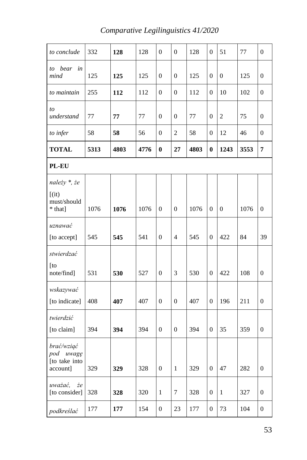| to conclude                                             | 332  | 128  | 128  | $\boldsymbol{0}$ | $\boldsymbol{0}$ | 128  | $\boldsymbol{0}$ | 51               | 77   | $\boldsymbol{0}$ |
|---------------------------------------------------------|------|------|------|------------------|------------------|------|------------------|------------------|------|------------------|
| bear<br>in<br>to<br>mind                                | 125  | 125  | 125  | $\overline{0}$   | $\boldsymbol{0}$ | 125  | $\boldsymbol{0}$ | $\boldsymbol{0}$ | 125  | $\overline{0}$   |
| to maintain                                             | 255  | 112  | 112  | $\boldsymbol{0}$ | $\boldsymbol{0}$ | 112  | $\boldsymbol{0}$ | 10               | 102  | $\overline{0}$   |
| to<br>understand                                        | 77   | 77   | 77   | $\overline{0}$   | $\theta$         | 77   | $\overline{0}$   | $\overline{c}$   | 75   | $\mathbf{0}$     |
| to infer                                                | 58   | 58   | 56   | $\boldsymbol{0}$ | $\mathbf{2}$     | 58   | $\boldsymbol{0}$ | 12               | 46   | $\mathbf{0}$     |
| <b>TOTAL</b>                                            | 5313 | 4803 | 4776 | $\bf{0}$         | 27               | 4803 | $\bf{0}$         | 1243             | 3553 | 7                |
| PL-EU                                                   |      |      |      |                  |                  |      |                  |                  |      |                  |
| należy *, że<br>$[$ (it)<br>must/should<br>* that]      | 1076 | 1076 | 1076 | $\boldsymbol{0}$ | $\boldsymbol{0}$ | 1076 | $\boldsymbol{0}$ | $\boldsymbol{0}$ | 1076 | $\boldsymbol{0}$ |
| uznawać<br>[to accept]                                  | 545  | 545  | 541  | $\boldsymbol{0}$ | $\overline{4}$   | 545  | $\boldsymbol{0}$ | 422              | 84   | 39               |
| stwierdzać<br>$[$ to<br>note/find]                      | 531  | 530  | 527  | $\boldsymbol{0}$ | 3                | 530  | $\boldsymbol{0}$ | 422              | 108  | $\boldsymbol{0}$ |
| wskazywać<br>[to indicate]                              | 408  | 407  | 407  | $\boldsymbol{0}$ | $\boldsymbol{0}$ | 407  | $\boldsymbol{0}$ | 196              | 211  | $\boldsymbol{0}$ |
| twierdzić<br>[to claim]                                 | 394  | 394  | 394  | $\theta$         | $\overline{0}$   | 394  | $\overline{0}$   | 35               | 359  | $\overline{0}$   |
| brać/wziąć<br>pod<br>uwagę<br>[to take into<br>account] | 329  | 329  | 328  | $\boldsymbol{0}$ | $\mathbf{1}$     | 329  | $\boldsymbol{0}$ | 47               | 282  | $\boldsymbol{0}$ |
| uważać,<br>żе<br>[to consider]                          | 328  | 328  | 320  | $\mathbf{1}$     | 7                | 328  | $\overline{0}$   | 1                | 327  | $\mathbf{0}$     |
| podkreślać                                              | 177  | 177  | 154  | $\boldsymbol{0}$ | 23               | 177  | $\boldsymbol{0}$ | 73               | 104  | $\boldsymbol{0}$ |

## *Comparative Legilinguistics 41/2020*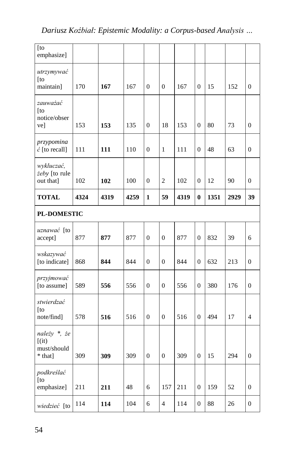*Dariusz Koźbiał: Epistemic Modality: a Corpus-based Analysis …*

| [to<br>emphasize]                                |      |      |      |                  |                |      |                  |      |      |                  |
|--------------------------------------------------|------|------|------|------------------|----------------|------|------------------|------|------|------------------|
| utrzymywać<br>[to<br>maintain]                   | 170  | 167  | 167  | $\overline{0}$   | $\mathbf{0}$   | 167  | $\overline{0}$   | 15   | 152  | $\overline{0}$   |
| zauważać<br>[to<br>notice/obser<br>ve]           | 153  | 153  | 135  | $\boldsymbol{0}$ | 18             | 153  | $\boldsymbol{0}$ | 80   | 73   | $\boldsymbol{0}$ |
| przypomina<br>$\acute{c}$ [to recall]            | 111  | 111  | 110  | $\boldsymbol{0}$ | $\mathbf{1}$   | 111  | $\boldsymbol{0}$ | 48   | 63   | $\boldsymbol{0}$ |
| wykluczać,<br>żeby [to rule<br>out that]         | 102  | 102  | 100  | $\boldsymbol{0}$ | $\overline{c}$ | 102  | $\boldsymbol{0}$ | 12   | 90   | $\boldsymbol{0}$ |
| <b>TOTAL</b>                                     | 4324 | 4319 | 4259 | 1                | 59             | 4319 | $\bf{0}$         | 1351 | 2929 | 39               |
| <b>PL-DOMESTIC</b>                               |      |      |      |                  |                |      |                  |      |      |                  |
| uznawać [to<br>accept]                           | 877  | 877  | 877  | $\mathbf{0}$     | $\overline{0}$ | 877  | $\overline{0}$   | 832  | 39   | 6                |
| wskazywać<br>[to indicate]                       | 868  | 844  | 844  | $\mathbf{0}$     | $\mathbf{0}$   | 844  | $\overline{0}$   | 632  | 213  | $\mathbf{0}$     |
| przyjmować<br>[to assume]                        | 589  | 556  | 556  | $\mathbf{0}$     | $\mathbf{0}$   | 556  | $\overline{0}$   | 380  | 176  | $\mathbf{0}$     |
| stwierdzać<br>[to<br>note/find]                  | 578  | 516  | 516  | $\mathbf{0}$     | $\mathbf{0}$   | 516  | $\overline{0}$   | 494  | 17   | $\overline{4}$   |
| należy *, że<br>[(it)]<br>must/should<br>* that] | 309  | 309  | 309  | $\mathbf{0}$     | $\mathbf{0}$   | 309  | $\overline{0}$   | 15   | 294  | $\mathbf{0}$     |
| podkreślać<br>$[$ to<br>emphasize]               | 211  | 211  | 48   | 6                | 157            | 211  | $\boldsymbol{0}$ | 159  | 52   | $\boldsymbol{0}$ |
| <i>wiedzieć</i> [to                              | 114  | 114  | 104  | 6                | $\overline{4}$ | 114  | $\overline{0}$   | 88   | 26   | $\mathbf{0}$     |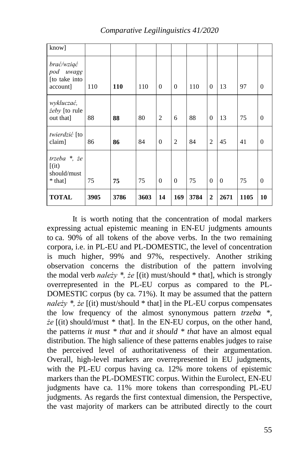| know]                                                |      |            |      |          |          |      |                |          |      |                |
|------------------------------------------------------|------|------------|------|----------|----------|------|----------------|----------|------|----------------|
| brać/wziąć<br>pod uwagę<br>[to take into<br>account] | 110  | <b>110</b> | 110  | $\Omega$ | $\Omega$ | 110  | $\overline{0}$ | 13       | 97   | $\overline{0}$ |
| wykluczać,<br>żeby [to rule<br>out that]             | 88   | 88         | 80   | 2        | 6        | 88   | $\overline{0}$ | 13       | 75   | $\theta$       |
| twierdzić [to<br>claim]                              | 86   | 86         | 84   | $\Omega$ | 2        | 84   | $\overline{2}$ | 45       | 41   | $\theta$       |
| trzeba $*$ , że<br>[(it)]<br>should/must<br>* that]  | 75   | 75         | 75   | $\Omega$ | $\Omega$ | 75   | $\overline{0}$ | $\Omega$ | 75   | $\theta$       |
| <b>TOTAL</b>                                         | 3905 | 3786       | 3603 | 14       | 169      | 3784 | $\overline{2}$ | 2671     | 1105 | 10             |

*Comparative Legilinguistics 41/2020*

It is worth noting that the concentration of modal markers expressing actual epistemic meaning in EN-EU judgments amounts to ca. 90% of all tokens of the above verbs. In the two remaining corpora, i.e. in PL-EU and PL-DOMESTIC, the level of concentration is much higher, 99% and 97%, respectively. Another striking observation concerns the distribution of the pattern involving the modal verb *należy \*, że* [(it) must/should \* that], which is strongly overrepresented in the PL-EU corpus as compared to the PL-DOMESTIC corpus (by ca. 71%). It may be assumed that the pattern *należy \*, że* [(it) must/should \* that] in the PL-EU corpus compensates the low frequency of the almost synonymous pattern *trzeba \*, że* [(it) should/must \* that]. In the EN-EU corpus, on the other hand, the patterns *it must \* that* and *it should \* that* have an almost equal distribution. The high salience of these patterns enables judges to raise the perceived level of authoritativeness of their argumentation. Overall, high-level markers are overrepresented in EU judgments, with the PL-EU corpus having ca. 12% more tokens of epistemic markers than the PL-DOMESTIC corpus. Within the Eurolect, EN-EU judgments have ca. 11% more tokens than corresponding PL-EU judgments. As regards the first contextual dimension, the Perspective, the vast majority of markers can be attributed directly to the court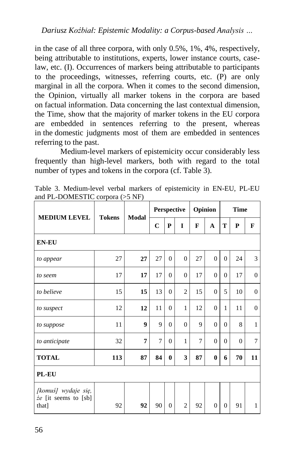in the case of all three corpora, with only 0.5%, 1%, 4%, respectively, being attributable to institutions, experts, lower instance courts, caselaw, etc. (I). Occurrences of markers being attributable to participants to the proceedings, witnesses, referring courts, etc. (P) are only marginal in all the corpora. When it comes to the second dimension, the Opinion, virtually all marker tokens in the corpora are based on factual information. Data concerning the last contextual dimension, the Time, show that the majority of marker tokens in the EU corpora are embedded in sentences referring to the present, whereas in the domestic judgments most of them are embedded in sentences referring to the past.

Medium-level markers of epistemicity occur considerably less frequently than high-level markers, both with regard to the total number of types and tokens in the corpora (cf. Table 3).

| <b>MEDIUM LEVEL</b>                                  | $\sim$ $\sim$ | <b>Modal</b>     |             |                | Perspective    |                | Opinion        | <b>Time</b> |              |              |
|------------------------------------------------------|---------------|------------------|-------------|----------------|----------------|----------------|----------------|-------------|--------------|--------------|
|                                                      | <b>Tokens</b> |                  | $\mathbf C$ | $\mathbf P$    | I              | F              | A              | T           | P            | F            |
| <b>EN-EU</b>                                         |               |                  |             |                |                |                |                |             |              |              |
| to appear                                            | 27            | 27               | 27          | $\Omega$       | $\overline{0}$ | 27             | $\Omega$       | $\Omega$    | 24           | 3            |
| to seem                                              | 17            | 17               | 17          | $\Omega$       | $\overline{0}$ | 17             | $\overline{0}$ | $\Omega$    | 17           | $\theta$     |
| to believe                                           | 15            | 15               | 13          | $\mathbf{0}$   | $\overline{2}$ | 15             | $\mathbf{0}$   | 5           | 10           | $\theta$     |
| to suspect                                           | 12            | 12               | 11          | $\mathbf{0}$   | 1              | 12             | $\mathbf{0}$   | 1           | 11           | $\theta$     |
| to suppose                                           | 11            | $\boldsymbol{9}$ | 9           | $\overline{0}$ | $\overline{0}$ | 9              | $\mathbf{0}$   | $\theta$    | 8            | $\mathbf{1}$ |
| to anticipate                                        | 32            | 7                | 7           | $\overline{0}$ | 1              | $\overline{7}$ | $\mathbf{0}$   | $\Omega$    | $\mathbf{0}$ | 7            |
| <b>TOTAL</b>                                         | 113           | 87               | 84          | $\bf{0}$       | 3              | 87             | $\bf{0}$       | 6           | 70           | 11           |
| PL-EU                                                |               |                  |             |                |                |                |                |             |              |              |
| [komuś] wydaje się,<br>że [it seems to [sb]<br>that] | 92            | 92               | 90          | 0              | $\overline{2}$ | 92             | $\mathbf{0}$   | $\theta$    | 91           | $\mathbf{1}$ |

Table 3. Medium-level verbal markers of epistemicity in EN-EU, PL-EU and PL-DOMESTIC corpora (>5 NF)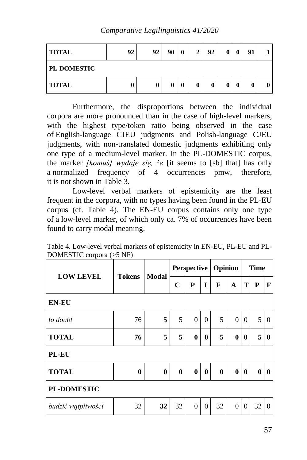*Comparative Legilinguistics 41/2020*

| <b>TOTAL</b>       | 92 | 92 | 00 | 2 | 92 | 0 |   | 91 |  |
|--------------------|----|----|----|---|----|---|---|----|--|
| <b>PL-DOMESTIC</b> |    |    |    |   |    |   |   |    |  |
| <b>TOTAL</b>       | u  | v  |    | 0 | 0  | 0 | 0 | 0  |  |

Furthermore, the disproportions between the individual corpora are more pronounced than in the case of high-level markers, with the highest type/token ratio being observed in the case of English-language CJEU judgments and Polish-language CJEU judgments, with non-translated domestic judgments exhibiting only one type of a medium-level marker. In the PL-DOMESTIC corpus, the marker *[komuś] wydaje się, że* [it seems to [sb] that] has only a normalized frequency of 4 occurrences pmw, therefore, it is not shown in Table 3.

Low-level verbal markers of epistemicity are the least frequent in the corpora, with no types having been found in the PL-EU corpus (cf. Table 4). The EN-EU corpus contains only one type of a low-level marker, of which only ca. 7% of occurrences have been found to carry modal meaning.

Table 4. Low-level verbal markers of epistemicity in EN-EU, PL-EU and PL-DOMESTIC corpora (>5 NF)

| <b>LOW LEVEL</b>   | <b>Tokens</b>    | Modal    | Perspective |          |              | Opinion  |              | <b>Time</b> |          |              |
|--------------------|------------------|----------|-------------|----------|--------------|----------|--------------|-------------|----------|--------------|
|                    |                  |          | $\mathbf C$ | P        | I            | F        | $\mathbf A$  | T           | P        | F            |
| <b>EN-EU</b>       |                  |          |             |          |              |          |              |             |          |              |
| to doubt           | 76               | 5        | 5           | $\theta$ | $\Omega$     | 5        | $\theta$     | $\Omega$    | 5        | $\Omega$     |
| <b>TOTAL</b>       | 76               | 5        | 5           | $\bf{0}$ | $\mathbf{0}$ | 5        | $\mathbf{0}$ | $\bf{0}$    | 5        | $\bf{0}$     |
| <b>PL-EU</b>       |                  |          |             |          |              |          |              |             |          |              |
| <b>TOTAL</b>       | $\boldsymbol{0}$ | $\bf{0}$ | $\bf{0}$    | $\bf{0}$ | $\mathbf{0}$ | $\bf{0}$ | $\bf{0}$     | $\bf{0}$    | $\bf{0}$ | $\mathbf{0}$ |
| <b>PL-DOMESTIC</b> |                  |          |             |          |              |          |              |             |          |              |
| budzić wątpliwości | 32               | 32       | 32          | $\theta$ | $\Omega$     | 32       | $\theta$     | $\Omega$    | 32       | $\Omega$     |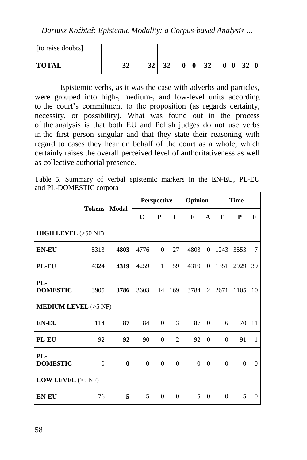*Dariusz Koźbiał: Epistemic Modality: a Corpus-based Analysis …*

| [to raise doubts] |          |    |          |  |    |   |  |  |
|-------------------|----------|----|----------|--|----|---|--|--|
| <b>TOTAL</b>      | 22<br>34 | 32 | 22<br>34 |  | 32 | Λ |  |  |

Epistemic verbs, as it was the case with adverbs and particles, were grouped into high-, medium-, and low-level units according to the court's commitment to the proposition (as regards certainty, necessity, or possibility). What was found out in the process of the analysis is that both EU and Polish judges do not use verbs in the first person singular and that they state their reasoning with regard to cases they hear on behalf of the court as a whole, which certainly raises the overall perceived level of authoritativeness as well as collective authorial presence.

Table 5. Summary of verbal epistemic markers in the EN-EU, PL-EU and PL-DOMESTIC corpora

|                               | <b>Tokens</b> | Modal    |              | Perspective    |                | Opinion          |                |                | <b>Time</b> |              |
|-------------------------------|---------------|----------|--------------|----------------|----------------|------------------|----------------|----------------|-------------|--------------|
|                               |               |          | $\mathbf C$  | P              | I              | F                | A              | T              | P           | $\mathbf{F}$ |
| <b>HIGH LEVEL</b> $(>50$ NF)  |               |          |              |                |                |                  |                |                |             |              |
| <b>EN-EU</b>                  | 5313          | 4803     | 4776         | $\Omega$       | 27             | 4803             | $\Omega$       | 1243           | 3553        | $\tau$       |
| PL-EU                         | 4324          | 4319     | 4259         | $\mathbf{1}$   | 59             | 4319             | $\Omega$       | 1351           | 2929        | 39           |
| PL-<br><b>DOMESTIC</b>        | 3905          | 3786     | 3603         | 14             | 169            | 3784             | $\overline{2}$ | 2671           | 1105        | 10           |
| <b>MEDIUM LEVEL</b> $(>5$ NF) |               |          |              |                |                |                  |                |                |             |              |
| <b>EN-EU</b>                  | 114           | 87       | 84           | $\mathbf{0}$   | $\mathcal{R}$  | 87               | $\Omega$       | 6              | 70          | 11           |
| PL-EU                         | 92            | 92       | 90           | $\overline{0}$ | $\overline{c}$ | 92               | $\Omega$       | $\overline{0}$ | 91          | $\mathbf{1}$ |
| PL-<br><b>DOMESTIC</b>        | $\mathbf{0}$  | $\bf{0}$ | $\mathbf{0}$ | $\mathbf{0}$   | $\Omega$       | $\boldsymbol{0}$ | $\Omega$       | $\mathbf{0}$   | $\Omega$    | $\Omega$     |
| <b>LOW LEVEL</b> $(>5$ NF)    |               |          |              |                |                |                  |                |                |             |              |
| <b>EN-EU</b>                  | 76            | 5        | 5            | $\overline{0}$ | $\overline{0}$ | 5                | $\overline{0}$ | $\Omega$       | 5           | $\mathbf{0}$ |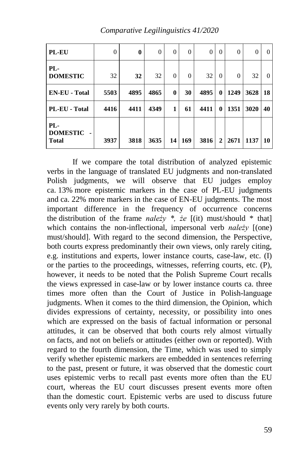| <b>PL-EU</b>                           | $\theta$ | $\mathbf{0}$ | $\overline{0}$ | $\overline{0}$ | $\Omega$ | $\overline{0}$ | $\Omega$    | $\mathbf{0}$ | $\theta$ | 0        |
|----------------------------------------|----------|--------------|----------------|----------------|----------|----------------|-------------|--------------|----------|----------|
| $PL-$<br><b>DOMESTIC</b>               | 32       | 32           | 32             | $\theta$       | $\Omega$ | 32             | $\Omega$    | $\mathbf{0}$ | 32       | $\Omega$ |
| <b>EN-EU - Total</b>                   | 5503     | 4895         | 4865           | $\bf{0}$       | 30       | 4895           | 0           | 1249         | 3628     | 18       |
| PL-EU - Total                          | 4416     | 4411         | 4349           | 1              | 61       | 4411           | 0           | 1351         | 3020     | 40       |
| PL-<br><b>DOMESTIC</b><br><b>Total</b> | 3937     | 3818         | 3635           | 14             | 169      | 3816           | $\mathbf 2$ | 2671         | 1137     | 10       |

*Comparative Legilinguistics 41/2020*

If we compare the total distribution of analyzed epistemic verbs in the language of translated EU judgments and non-translated Polish judgments, we will observe that EU judges employ ca. 13% more epistemic markers in the case of PL-EU judgments and ca. 22% more markers in the case of EN-EU judgments. The most important difference in the frequency of occurrence concerns the distribution of the frame *nalezy*  $*$ , *że* [(it) must/should  $*$  that] which contains the non-inflectional, impersonal verb *należy* [(one) must/should]. With regard to the second dimension, the Perspective, both courts express predominantly their own views, only rarely citing, e.g. institutions and experts, lower instance courts, case-law, etc. (I) or the parties to the proceedings, witnesses, referring courts, etc. (P), however, it needs to be noted that the Polish Supreme Court recalls the views expressed in case-law or by lower instance courts ca. three times more often than the Court of Justice in Polish-language judgments. When it comes to the third dimension, the Opinion, which divides expressions of certainty, necessity, or possibility into ones which are expressed on the basis of factual information or personal attitudes, it can be observed that both courts rely almost virtually on facts, and not on beliefs or attitudes (either own or reported). With regard to the fourth dimension, the Time, which was used to simply verify whether epistemic markers are embedded in sentences referring to the past, present or future, it was observed that the domestic court uses epistemic verbs to recall past events more often than the EU court, whereas the EU court discusses present events more often than the domestic court. Epistemic verbs are used to discuss future events only very rarely by both courts.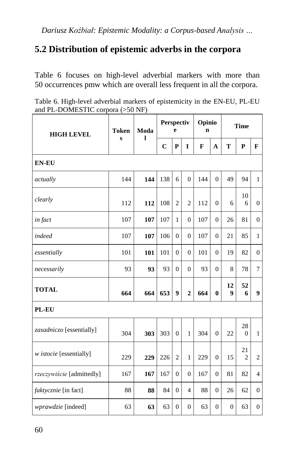## **5.2 Distribution of epistemic adverbs in the corpora**

Table 6 focuses on high-level adverbial markers with more than 50 occurrences pmw which are overall less frequent in all the corpora.

|                                    | Table 6. High-level adverbial markers of epistemicity in the EN-EU, PL-EU |
|------------------------------------|---------------------------------------------------------------------------|
| and PL-DOMESTIC corpora $(>50$ NF) |                                                                           |

| <b>HIGH LEVEL</b>         | <b>Token</b><br>Moda |     | Perspectiv<br>e |                  |                | Opinio<br>n |                | <b>Time</b>    |                      |                |  |
|---------------------------|----------------------|-----|-----------------|------------------|----------------|-------------|----------------|----------------|----------------------|----------------|--|
|                           | S                    | ı   | $\mathbf C$     | $\mathbf{P}$     | I              | F           | A              | T              | P                    | $\mathbf{F}$   |  |
| <b>EN-EU</b>              |                      |     |                 |                  |                |             |                |                |                      |                |  |
| actually                  | 144                  | 144 | 138             | 6                | $\theta$       | 144         | $\Omega$       | 49             | 94                   | $\mathbf{1}$   |  |
| clearly                   | 112                  | 112 | 108             | $\overline{2}$   | $\overline{2}$ | 112         | $\Omega$       | 6              | 10<br>6              | $\mathbf{0}$   |  |
| in fact                   | 107                  | 107 | 107             | 1                | $\mathbf{0}$   | 107         | $\mathbf{0}$   | 26             | 81                   | $\mathbf{0}$   |  |
| indeed                    | 107                  | 107 | 106             | $\overline{0}$   | $\overline{0}$ | 107         | $\overline{0}$ | 21             | 85                   | $\mathbf{1}$   |  |
| essentially               | 101                  | 101 | 101             | $\Omega$         | $\Omega$       | 101         | $\mathbf{0}$   | 19             | 82                   | $\theta$       |  |
| necessarily               | 93                   | 93  | 93              | $\Omega$         | $\Omega$       | 93          | $\Omega$       | 8              | 78                   | $\tau$         |  |
| <b>TOTAL</b>              | 664                  | 664 | 653             | $\boldsymbol{9}$ | $\overline{2}$ | 664         | $\bf{0}$       | 12<br>9        | 52<br>6              | 9              |  |
| PL-EU                     |                      |     |                 |                  |                |             |                |                |                      |                |  |
| zasadniczo [essentially]  | 304                  | 303 | 303             | $\theta$         | $\mathbf{1}$   | 304         | $\overline{0}$ | 22             | 28<br>$\Omega$       | $\mathbf{1}$   |  |
| w istocie [essentially]   | 229                  | 229 | 226             | $\overline{2}$   | $\mathbf{1}$   | 229         | $\overline{0}$ | 15             | 21<br>$\overline{2}$ | 2              |  |
| rzeczywiście [admittedly] | 167                  | 167 | 167             | $\theta$         | $\mathbf{0}$   | 167         | $\mathbf{0}$   | 81             | 82                   | $\overline{4}$ |  |
| faktycznie [in fact]      | 88                   | 88  | 84              | $\Omega$         | 4              | 88          | $\mathbf{0}$   | 26             | 62                   | $\mathbf{0}$   |  |
| wprawdzie [indeed]        | 63                   | 63  | 63              | $\theta$         | $\Omega$       | 63          | $\mathbf{0}$   | $\overline{0}$ | 63                   | $\mathbf{0}$   |  |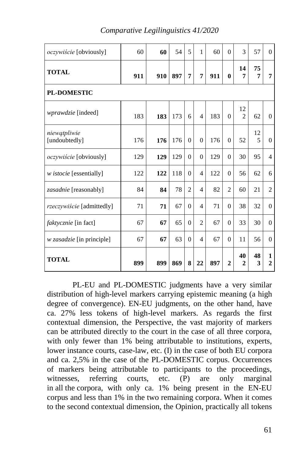| <i>oczywiście</i> [obviously]    | 60  | 60  | 54  | 5              | 1              | 60  | $\theta$       | $\mathcal{R}$        | 57      | $\Omega$                 |  |  |
|----------------------------------|-----|-----|-----|----------------|----------------|-----|----------------|----------------------|---------|--------------------------|--|--|
| <b>TOTAL</b>                     | 911 | 910 | 897 | 7              | 7              | 911 | 0              | 14<br>7              | 75<br>7 | 7                        |  |  |
| <b>PL-DOMESTIC</b>               |     |     |     |                |                |     |                |                      |         |                          |  |  |
| <i>wprawdzie</i> [indeed]        | 183 | 183 | 173 | 6              | $\overline{4}$ | 183 | $\theta$       | 12<br>$\overline{2}$ | 62      | $\theta$                 |  |  |
| niewatpliwie<br>[undoubtedly]    | 176 | 176 | 176 | $\theta$       | $\Omega$       | 176 | $\theta$       | 52                   | 12<br>5 | $\Omega$                 |  |  |
| <i>oczywiście</i> [obviously]    | 129 | 129 | 129 | $\Omega$       | $\Omega$       | 129 | $\theta$       | 30                   | 95      | $\overline{\mathcal{A}}$ |  |  |
| w <i>istocie</i> [essentially]   | 122 | 122 | 118 | $\Omega$       | $\overline{4}$ | 122 | $\Omega$       | 56                   | 62      | 6                        |  |  |
| zasadnie [reasonably]            | 84  | 84  | 78  | $\overline{c}$ | $\overline{4}$ | 82  | $\overline{2}$ | 60                   | 21      | $\overline{2}$           |  |  |
| rzeczywiście [admittedly]        | 71  | 71  | 67  | $\theta$       | $\overline{4}$ | 71  | $\theta$       | 38                   | 32      | $\Omega$                 |  |  |
| <i>faktycznie</i> [in fact]      | 67  | 67  | 65  | $\overline{0}$ | $\overline{2}$ | 67  | $\theta$       | 33                   | 30      | $\Omega$                 |  |  |
| <i>w zasadzie</i> [in principle] | 67  | 67  | 63  | $\theta$       | $\overline{4}$ | 67  | $\theta$       | 11                   | 56      | $\Omega$                 |  |  |
| <b>TOTAL</b>                     | 899 | 899 | 869 | 8              | 22             | 897 | $\overline{2}$ | 40<br>$\mathbf{2}$   | 48<br>3 | 1<br>$\overline{c}$      |  |  |

*Comparative Legilinguistics 41/2020*

PL-EU and PL-DOMESTIC judgments have a very similar distribution of high-level markers carrying epistemic meaning (a high degree of convergence). EN-EU judgments, on the other hand, have ca. 27% less tokens of high-level markers. As regards the first contextual dimension, the Perspective, the vast majority of markers can be attributed directly to the court in the case of all three corpora, with only fewer than 1% being attributable to institutions, experts, lower instance courts, case-law, etc. (I) in the case of both EU corpora and ca. 2,5% in the case of the PL-DOMESTIC corpus. Occurrences of markers being attributable to participants to the proceedings, witnesses, referring courts, etc. (P) are only marginal in all the corpora, with only ca. 1% being present in the EN-EU corpus and less than 1% in the two remaining corpora. When it comes to the second contextual dimension, the Opinion, practically all tokens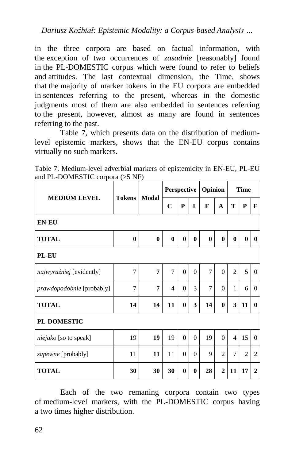*Dariusz Koźbiał: Epistemic Modality: a Corpus-based Analysis …*

in the three corpora are based on factual information, with the exception of two occurrences of *zasadnie* [reasonably] found in the PL-DOMESTIC corpus which were found to refer to beliefs and attitudes. The last contextual dimension, the Time, shows that the majority of marker tokens in the EU corpora are embedded in sentences referring to the present, whereas in the domestic judgments most of them are also embedded in sentences referring to the present, however, almost as many are found in sentences referring to the past.

Table 7, which presents data on the distribution of mediumlevel epistemic markers, shows that the EN-EU corpus contains virtually no such markers.

| Table 7. Medium-level adverbial markers of epistemicity in EN-EU, PL-EU |  |  |  |
|-------------------------------------------------------------------------|--|--|--|
| and PL-DOMESTIC corpora $(55 \text{ NF})$                               |  |  |  |

|                              | <b>Tokens</b>    |              | Perspective    |              |              | Opinion        |                | <b>Time</b>    |                |              |  |  |
|------------------------------|------------------|--------------|----------------|--------------|--------------|----------------|----------------|----------------|----------------|--------------|--|--|
| <b>MEDIUM LEVEL</b>          |                  | <b>Modal</b> | $\mathbf C$    | P            | I            | F              | A              | T              | ${\bf P}$      | F            |  |  |
| <b>EN-EU</b>                 |                  |              |                |              |              |                |                |                |                |              |  |  |
| <b>TOTAL</b>                 | $\boldsymbol{0}$ | $\bf{0}$     | $\bf{0}$       | $\mathbf{0}$ | $\mathbf{0}$ | $\bf{0}$       | $\bf{0}$       | $\mathbf{0}$   | $\mathbf{0}$   | $\mathbf{0}$ |  |  |
| <b>PL-EU</b>                 |                  |              |                |              |              |                |                |                |                |              |  |  |
| najwyraźniej [evidently]     | 7                | 7            | 7              | $\theta$     | $\Omega$     | $\overline{7}$ | $\Omega$       | $\overline{2}$ | 5              | $\Omega$     |  |  |
| prawdopodobnie [probably]    | 7                | 7            | $\overline{4}$ | $\Omega$     | 3            | 7              | $\theta$       | 1              | 6              | $\Omega$     |  |  |
| <b>TOTAL</b>                 | 14               | 14           | 11             | $\bf{0}$     | 3            | 14             | $\bf{0}$       | 3              | 11             | $\mathbf{0}$ |  |  |
| <b>PL-DOMESTIC</b>           |                  |              |                |              |              |                |                |                |                |              |  |  |
| <i>niejako</i> [so to speak] | 19               | 19           | 19             | $\Omega$     | $\Omega$     | 19             | $\Omega$       | $\overline{4}$ | 15             | $\Omega$     |  |  |
| <i>zapewne</i> [probably]    | 11               | 11           | 11             | $\theta$     | $\Omega$     | 9              | $\overline{2}$ | $\overline{7}$ | $\overline{2}$ | 2            |  |  |
| <b>TOTAL</b>                 | 30               | 30           | 30             | $\bf{0}$     | 0            | 28             | $\mathbf{2}$   | 11             | 17             | $\mathbf{2}$ |  |  |

Each of the two remaning corpora contain two types of medium-level markers, with the PL-DOMESTIC corpus having a two times higher distribution.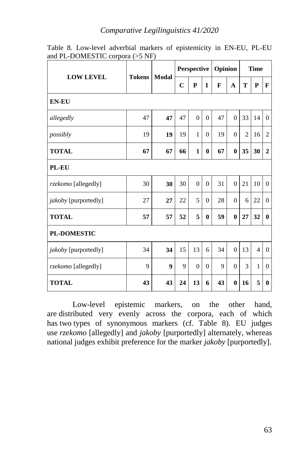#### *Comparative Legilinguistics 41/2020*

| <b>LOW LEVEL</b>     |    | <b>Modal</b><br><b>Tokens</b> | Perspective |              |          | Opinion |          | <b>Time</b>    |                |                |
|----------------------|----|-------------------------------|-------------|--------------|----------|---------|----------|----------------|----------------|----------------|
|                      |    |                               | $\mathbf C$ | $\mathbf{P}$ | I        | F       | A        | T              | ${\bf P}$      | $\mathbf{F}$   |
| <b>EN-EU</b>         |    |                               |             |              |          |         |          |                |                |                |
| allegedly            | 47 | 47                            | 47          | $\theta$     | $\theta$ | 47      | $\Omega$ | 33             | 14             | $\theta$       |
| possibly             | 19 | 19                            | 19          | $\mathbf{1}$ | $\Omega$ | 19      | $\Omega$ | $\overline{c}$ | 16             | $\overline{2}$ |
| <b>TOTAL</b>         | 67 | 67                            | 66          | $\mathbf{1}$ | $\bf{0}$ | 67      | $\bf{0}$ | 35             | 30             | $\overline{2}$ |
| PL-EU                |    |                               |             |              |          |         |          |                |                |                |
| rzekomo [allegedly]  | 30 | 30                            | 30          | $\theta$     | $\theta$ | 31      | $\Omega$ | 21             | 10             | $\Omega$       |
| jakoby [purportedly] | 27 | 27                            | 22          | 5            | $\theta$ | 28      | $\theta$ | 6              | 22             | $\mathbf{0}$   |
| <b>TOTAL</b>         | 57 | 57                            | 52          | 5            | $\bf{0}$ | 59      | $\bf{0}$ | 27             | 32             | $\bf{0}$       |
| <b>PL-DOMESTIC</b>   |    |                               |             |              |          |         |          |                |                |                |
| jakoby [purportedly] | 34 | 34                            | 15          | 13           | 6        | 34      | $\Omega$ | 13             | $\overline{4}$ | $\Omega$       |
| rzekomo [allegedly]  | 9  | 9                             | 9           | $\theta$     | $\Omega$ | 9       | $\Omega$ | 3              | $\mathbf{1}$   | $\Omega$       |
| <b>TOTAL</b>         | 43 | 43                            | 24          | 13           | 6        | 43      | $\bf{0}$ | 16             | 5              | $\bf{0}$       |

Table 8. Low-level adverbial markers of epistemicity in EN-EU, PL-EU and PL-DOMESTIC corpora (>5 NF)

Low-level epistemic markers, on the other hand, are distributed very evenly across the corpora, each of which has two types of synonymous markers (cf. Table 8). EU judges use *rzekomo* [allegedly] and *jakoby* [purportedly] alternately, whereas national judges exhibit preference for the marker *jakoby* [purportedly].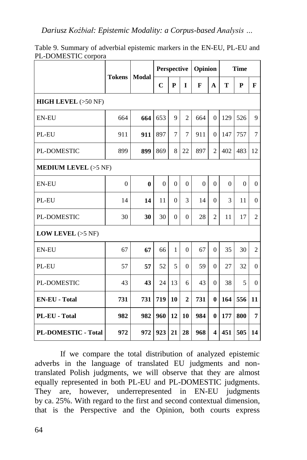|                               | <b>Tokens</b><br>Modal |              | <b>Perspective</b> |                |                | Opinion  |                         | <b>Time</b> |          |                |  |
|-------------------------------|------------------------|--------------|--------------------|----------------|----------------|----------|-------------------------|-------------|----------|----------------|--|
|                               |                        |              | $\mathbf C$        | ${\bf P}$      | I              | F        | A                       | T           | P        | F              |  |
| <b>HIGH LEVEL</b> $(>50$ NF)  |                        |              |                    |                |                |          |                         |             |          |                |  |
| <b>EN-EU</b>                  | 664                    | 664          | 653                | 9              | $\overline{2}$ | 664      | $\theta$                | 129         | 526      | 9              |  |
| PL-EU                         | 911                    | 911          | 897                | $\overline{7}$ | $\tau$         | 911      | $\overline{0}$          | 147         | 757      | $\overline{7}$ |  |
| PL-DOMESTIC                   | 899                    | 899          | 869                | 8              | 22             | 897      | $\overline{2}$          | 402         | 483      | 12             |  |
| <b>MEDIUM LEVEL</b> $(>5$ NF) |                        |              |                    |                |                |          |                         |             |          |                |  |
| <b>EN-EU</b>                  | $\Omega$               | $\mathbf{0}$ | $\Omega$           | $\Omega$       | $\Omega$       | $\Omega$ | $\Omega$                | $\Omega$    | $\Omega$ | $\theta$       |  |
| PL-EU                         | 14                     | 14           | 11                 | $\Omega$       | 3              | 14       | $\Omega$                | 3           | 11       | $\mathbf{0}$   |  |
| PL-DOMESTIC                   | 30                     | 30           | 30                 | $\Omega$       | $\Omega$       | 28       | $\overline{2}$          | 11          | 17       | 2              |  |
| <b>LOW LEVEL</b> $(>5$ NF)    |                        |              |                    |                |                |          |                         |             |          |                |  |
| <b>EN-EU</b>                  | 67                     | 67           | 66                 | $\mathbf{1}$   | $\theta$       | 67       | $\overline{0}$          | 35          | 30       | $\overline{2}$ |  |
| PL-EU                         | 57                     | 57           | 52                 | 5              | $\Omega$       | 59       | $\Omega$                | 27          | 32       | $\Omega$       |  |
| <b>PL-DOMESTIC</b>            | 43                     | 43           | 24                 | 13             | 6              | 43       | $\Omega$                | 38          | 5        | $\Omega$       |  |
| <b>EN-EU - Total</b>          | 731                    | 731          | 719                | 10             | $\overline{2}$ | 731      | $\bf{0}$                | 164         | 556      | 11             |  |
| PL-EU - Total                 | 982                    | 982          | 960                | 12             | 10             | 984      | $\bf{0}$                | 177         | 800      | $\overline{7}$ |  |
| PL-DOMESTIC - Total           | 972                    | 972          | 923                | 21             | 28             | 968      | $\overline{\mathbf{4}}$ | 451         | 505      | 14             |  |

Table 9. Summary of adverbial epistemic markers in the EN-EU, PL-EU and PL-DOMESTIC corpora

If we compare the total distribution of analyzed epistemic adverbs in the language of translated EU judgments and nontranslated Polish judgments, we will observe that they are almost equally represented in both PL-EU and PL-DOMESTIC judgments. They are, however, underrepresented in EN-EU judgments by ca. 25%. With regard to the first and second contextual dimension, that is the Perspective and the Opinion, both courts express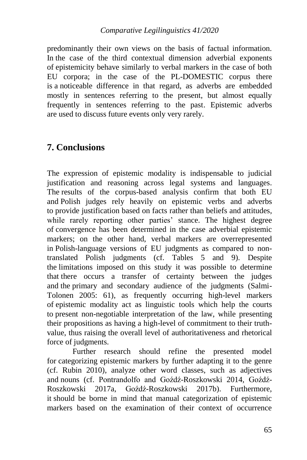predominantly their own views on the basis of factual information. In the case of the third contextual dimension adverbial exponents of epistemicity behave similarly to verbal markers in the case of both EU corpora; in the case of the PL-DOMESTIC corpus there is a noticeable difference in that regard, as adverbs are embedded mostly in sentences referring to the present, but almost equally frequently in sentences referring to the past. Epistemic adverbs are used to discuss future events only very rarely.

### **7. Conclusions**

The expression of epistemic modality is indispensable to judicial justification and reasoning across legal systems and languages. The results of the corpus-based analysis confirm that both EU and Polish judges rely heavily on epistemic verbs and adverbs to provide justification based on facts rather than beliefs and attitudes, while rarely reporting other parties' stance. The highest degree of convergence has been determined in the case adverbial epistemic markers; on the other hand, verbal markers are overrepresented in Polish-language versions of EU judgments as compared to nontranslated Polish judgments (cf. Tables 5 and 9). Despite the limitations imposed on this study it was possible to determine that there occurs a transfer of certainty between the judges and the primary and secondary audience of the judgments (Salmi-Tolonen 2005: 61), as frequently occurring high-level markers of epistemic modality act as linguistic tools which help the courts to present non-negotiable interpretation of the law, while presenting their propositions as having a high-level of commitment to their truthvalue, thus raising the overall level of authoritativeness and rhetorical force of judgments.

Further research should refine the presented model for categorizing epistemic markers by further adapting it to the genre (cf. Rubin 2010), analyze other word classes, such as adjectives and nouns (cf. Pontrandolfo and Goźdź-Roszkowski 2014, Goźdź-Roszkowski 2017a, Goźdź-Roszkowski 2017b). Furthermore, it should be borne in mind that manual categorization of epistemic markers based on the examination of their context of occurrence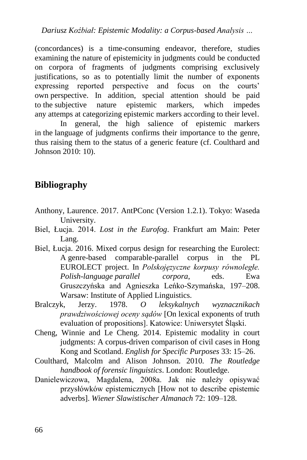(concordances) is a time-consuming endeavor, therefore, studies examining the nature of epistemicity in judgments could be conducted on corpora of fragments of judgments comprising exclusively justifications, so as to potentially limit the number of exponents expressing reported perspective and focus on the courts' own perspective. In addition, special attention should be paid to the subjective nature epistemic markers, which impedes any attemps at categorizing epistemic markers according to their level.

In general, the high salience of epistemic markers in the language of judgments confirms their importance to the genre, thus raising them to the status of a generic feature (cf. Coulthard and Johnson 2010: 10).

### **Bibliography**

- Anthony, Laurence. 2017. AntPConc (Version 1.2.1). Tokyo: Waseda University.
- Biel, Łucja. 2014. *Lost in the Eurofog*. Frankfurt am Main: Peter Lang.
- Biel, Łucja. 2016. Mixed corpus design for researching the Eurolect: A genre-based comparable-parallel corpus in the PL EUROLECT project. In *Polskojęzyczne korpusy równoległe. Polish-language parallel corpora*, eds. Ewa Gruszczyńska and Agnieszka Leńko-Szymańska, 197–208. Warsaw: Institute of Applied Linguistics.
- Bralczyk, Jerzy. 1978. *O leksykalnych wyznacznikach prawdziwościowej oceny sądów* [On lexical exponents of truth evaluation of propositions]. Katowice: Uniwersytet Śląski.
- Cheng, Winnie and Le Cheng. 2014. Epistemic modality in court judgments: A corpus-driven comparison of civil cases in Hong Kong and Scotland. *English for Specific Purposes* 33: 15–26.
- Coulthard, Malcolm and Alison Johnson. 2010. *The Routledge handbook of forensic linguistics*. London: Routledge.
- Danielewiczowa, Magdalena, 2008a. Jak nie należy opisywać przysłówków epistemicznych [How not to describe epistemic adverbs]. *Wiener Slawistischer Almanach* 72: 109–128.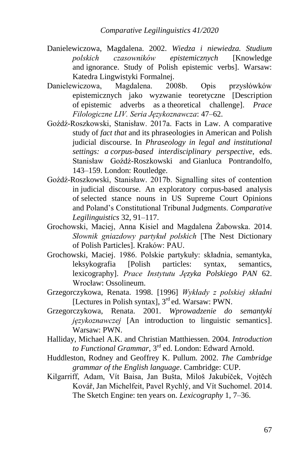- Danielewiczowa, Magdalena. 2002. *Wiedza i niewiedza. Studium polskich czasowników epistemicznych* [Knowledge and ignorance. Study of Polish epistemic verbs]. Warsaw: Katedra Lingwistyki Formalnej.
- Danielewiczowa, Magdalena. 2008b. Opis przysłówków epistemicznych jako wyzwanie teoretyczne [Description of epistemic adverbs as a theoretical challenge]. *Prace Filologiczne LIV. Seria Językoznawcza*: 47–62.
- Goźdź-Roszkowski, Stanisław. 2017a. Facts in Law. A comparative study of *fact that* and its phraseologies in American and Polish judicial discourse. In *Phraseology in legal and institutional settings: a corpus-based interdisciplinary perspective*, eds. Stanisław Goźdź-Roszkowski and Gianluca Pontrandolfo, 143–159. London: Routledge.
- Goźdź-Roszkowski, Stanisław. 2017b. Signalling sites of contention in judicial discourse. An exploratory corpus-based analysis of selected stance nouns in US Supreme Court Opinions and Poland's Constitutional Tribunal Judgments. *Comparative Legilinguistics* 32, 91–117.
- Grochowski, Maciej, Anna Kisiel and Magdalena Żabowska. 2014. *Słownik gniazdowy partykuł polskich* [The Nest Dictionary of Polish Particles]. Kraków: PAU.
- Grochowski, Maciej. 1986. Polskie partykuły: składnia, semantyka, leksykografia [Polish particles: syntax, semantics, lexicography]. *Prace Instytutu Języka Polskiego PAN* 62. Wrocław: Ossolineum.
- Grzegorczykowa, Renata. 1998. [1996] *Wykłady z polskiej składni* [Lectures in Polish syntax], 3<sup>rd</sup> ed. Warsaw: PWN.
- Grzegorczykowa, Renata. 2001. *Wprowadzenie do semantyki językoznawczej* [An introduction to linguistic semantics]. Warsaw: PWN.
- Halliday, Michael A.K. and Christian Matthiessen. 2004. *Introduction to Functional Grammar*, 3rd ed. London: Edward Arnold.
- Huddleston, Rodney and Geoffrey K. Pullum. 2002. *The Cambridge grammar of the English language*. Cambridge: CUP.
- Kilgarriff, Adam, Vít Baisa, Jan Bušta, Miloš Jakubíček, Vojtěch Kovář, Jan Michelfeit, Pavel Rychlý, and Vít Suchomel. 2014. The Sketch Engine: ten years on. *Lexicography* 1, 7–36.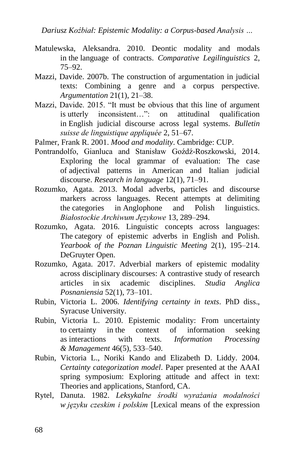*Dariusz Koźbiał: Epistemic Modality: a Corpus-based Analysis …*

- Matulewska, Aleksandra. 2010. Deontic modality and modals in the language of contracts. *Comparative Legilinguistics* 2, 75–92.
- Mazzi, Davide. 2007b. The construction of argumentation in judicial texts: Combining a genre and a corpus perspective. *Argumentation* 21(1), 21–38.
- Mazzi, Davide. 2015. "It must be obvious that this line of argument is utterly inconsistent…": on attitudinal qualification in English judicial discourse across legal systems. *Bulletin suisse de linguistique appliquée* 2, 51–67.
- Palmer, Frank R. 2001. *Mood and modality*. Cambridge: CUP.
- Pontrandolfo, Gianluca and Stanisław Goźdź-Roszkowski, 2014. Exploring the local grammar of evaluation: The case of adjectival patterns in American and Italian judicial discourse. *Research in language* 12(1), 71–91.
- Rozumko, Agata. 2013. Modal adverbs, particles and discourse markers across languages. Recent attempts at delimiting the categories in Anglophone and Polish linguistics. *Białostockie Archiwum Językowe* 13, 289–294.
- Rozumko, Agata. 2016. Linguistic concepts across languages: The category of epistemic adverbs in English and Polish. *Yearbook of the Poznan Linguistic Meeting* 2(1), 195–214. DeGruyter Open.
- Rozumko, Agata. 2017. Adverbial markers of epistemic modality across disciplinary discourses: A contrastive study of research articles in six academic disciplines. *Studia Anglica Posnaniensia* 52(1), 73–101.
- Rubin, Victoria L. 2006. *Identifying certainty in texts*. PhD diss., Syracuse University.
- Rubin, Victoria L. 2010. Epistemic modality: From uncertainty to certainty in the context of information seeking as interactions with texts. *Information Processing & Management* 46(5), 533–540.
- Rubin, Victoria L., Noriki Kando and Elizabeth D. Liddy. 2004. *Certainty categorization model*. Paper presented at the AAAI spring symposium: Exploring attitude and affect in text: Theories and applications, Stanford, CA.
- Rytel, Danuta. 1982. *Leksykalne środki wyrażania modalności w języku czeskim i polskim* [Lexical means of the expression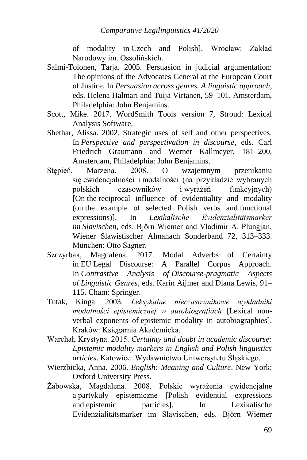of modality in Czech and Polish]. Wrocław: Zakład Narodowy im. Ossolińskich.

- Salmi-Tolonen, Tarja. 2005. Persuasion in judicial argumentation: The opinions of the Advocates General at the European Court of Justice. In *Persuasion across genres. A linguistic approach*, eds. Helena Halmari and Tuija Virtanen, 59–101. Amsterdam, Philadelphia: John Benjamins.
- Scott, Mike. 2017. WordSmith Tools version 7, Stroud: Lexical Analysis Software.
- Shethar, Alissa. 2002. Strategic uses of self and other perspectives. In *Perspective and perspectivation in discourse*, eds. Carl Friedrich Graumann and Werner Kallmeyer, 181–200. Amsterdam, Philadelphia: John Benjamins.
- Stępień, Marzena. 2008. O wzajemnym przenikaniu się ewidencjalności i modalności (na przykładzie wybranych polskich czasowników i wyrażeń funkcyjnych) [On the reciprocal influence of evidentiality and modality (on the example of selected Polish verbs and functional expressions)]. In *Lexikalische Evidenzialitätsmarker im Slavischen*, eds. Björn Wiemer and Vladimir A. Plungjan, Wiener Slawistischer Almanach Sonderband 72, 313–333. München: Otto Sagner.
- Szczyrbak, Magdalena. 2017. Modal Adverbs of Certainty in EU Legal Discourse: A Parallel Corpus Approach. In *Contrastive Analysis of Discourse-pragmatic Aspects of Linguistic Genres*, eds. Karin Aijmer and Diana Lewis, 91– 115. Cham: Springer.
- Tutak, Kinga. 2003. *Leksykalne nieczasownikowe wykładniki modalności epistemicznej w autobiografiach* [Lexical nonverbal exponents of epistemic modality in autobiographies]. Kraków: Księgarnia Akademicka.
- Warchał, Krystyna. 2015. *Certainty and doubt in academic discourse: Epistemic modality markers in English and Polish linguistics articles*. Katowice: Wydawnictwo Uniwersytetu Śląskiego.
- Wierzbicka, Anna. 2006. *English: Meaning and Culture*. New York: Oxford University Press.
- Żabowska, Magdalena. 2008. Polskie wyrażenia ewidencjalne a partykuły epistemiczne [Polish evidential expressions and epistemic particles]. In Lexikalische Evidenzialitätsmarker im Slavischen, eds. Björn Wiemer